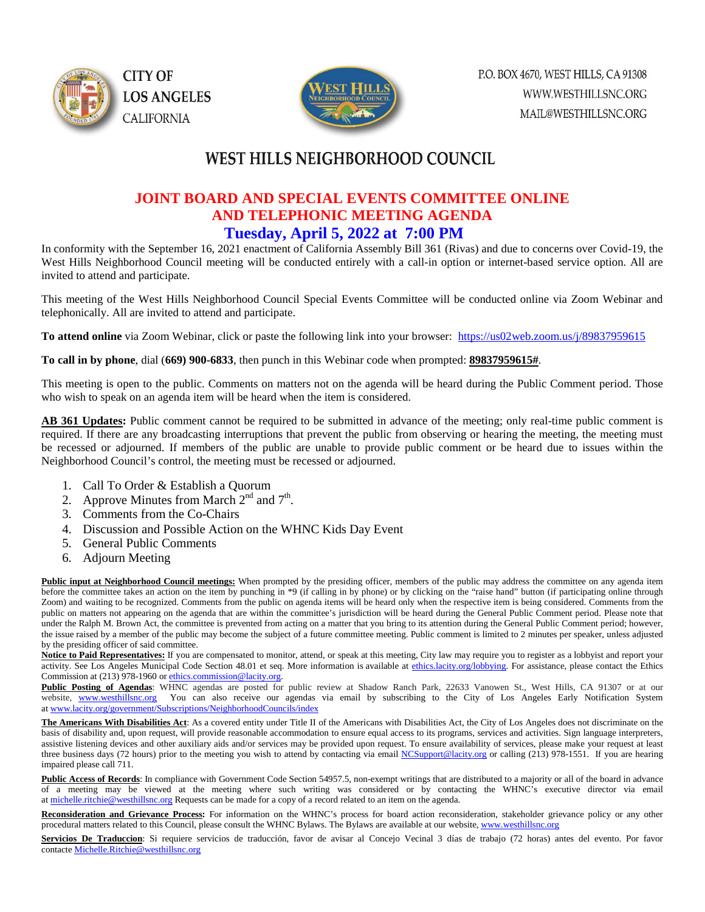



### WEST HILLS NEIGHBORHOOD COUNCIL

#### **JOINT BOARD AND SPECIAL EVENTS COMMITTEE ONLINE AND TELEPHONIC MEETING AGENDA Tuesday, April 5, 2022 at 7:00 PM**

In conformity with the September 16, 2021 enactment of California Assembly Bill 361 (Rivas) and due to concerns over Covid-19, the West Hills Neighborhood Council meeting will be conducted entirely with a call-in option or internet-based service option. All are invited to attend and participate.

This meeting of the West Hills Neighborhood Council Special Events Committee will be conducted online via Zoom Webinar and telephonically. All are invited to attend and participate.

**To attend online** via Zoom Webinar, click or paste the following link into your browser: <https://us02web.zoom.us/j/89837959615>

**To call in by phone**, dial (**669) 900-6833**, then punch in this Webinar code when prompted: **89837959615#**.

This meeting is open to the public. Comments on matters not on the agenda will be heard during the Public Comment period. Those who wish to speak on an agenda item will be heard when the item is considered.

**AB 361 Updates:** Public comment cannot be required to be submitted in advance of the meeting; only real-time public comment is required. If there are any broadcasting interruptions that prevent the public from observing or hearing the meeting, the meeting must be recessed or adjourned. If members of the public are unable to provide public comment or be heard due to issues within the Neighborhood Council's control, the meeting must be recessed or adjourned.

- 1. Call To Order & Establish a Quorum
- 2. Approve Minutes from March  $2<sup>nd</sup>$  and  $7<sup>th</sup>$ .
- 3. Comments from the Co-Chairs
- 4. Discussion and Possible Action on the WHNC Kids Day Event
- 5. General Public Comments
- 6. Adjourn Meeting

**Public input at Neighborhood Council meetings:** When prompted by the presiding officer, members of the public may address the committee on any agenda item before the committee takes an action on the item by punching in \*9 (if calling in by phone) or by clicking on the "raise hand" button (if participating online through Zoom) and waiting to be recognized. Comments from the public on agenda items will be heard only when the respective item is being considered. Comments from the public on matters not appearing on the agenda that are within the committee's jurisdiction will be heard during the General Public Comment period. Please note that under the Ralph M. Brown Act, the committee is prevented from acting on a matter that you bring to its attention during the General Public Comment period; however, the issue raised by a member of the public may become the subject of a future committee meeting. Public comment is limited to 2 minutes per speaker, unless adjusted by the presiding officer of said committee.

Notice to Paid Representatives: If you are compensated to monitor, attend, or speak at this meeting, City law may require you to register as a lobbyist and report your activity. See Los Angeles Municipal Code Section 48.01 et seq. More information is available a[t ethics.lacity.org/lobbying.](http://ethics.lacity.org/lobbying) For assistance, please contact the Ethics Commission at (213) 978-1960 or [ethics.commission@lacity.org.](javascript:void(0);)

Public Posting of Agendas: WHNC agendas are posted for public review at Shadow Ranch Park, 22633 Vanowen St., West Hills, CA 91307 or at our website, [www.westhillsnc.org](http://www.westhillsnc.org/) You can also receive our agendas via email by subscribing to the City of Los Angeles Early Notification System at [www.lacity.org/government/Subscriptions/NeighborhoodCouncils/index](http://www.lacity.org/government/Subscriptions/NeighborhoodCouncils/index)

**The Americans With Disabilities Act**: As a covered entity under Title II of the Americans with Disabilities Act, the City of Los Angeles does not discriminate on the basis of disability and, upon request, will provide reasonable accommodation to ensure equal access to its programs, services and activities. Sign language interpreters, assistive listening devices and other auxiliary aids and/or services may be provided upon request. To ensure availability of services, please make your request at least three business days (72 hours) prior to the meeting you wish to attend by contacting via emai[l NCSupport@lacity.org](mailto:NCSupport@lacity.org) or calling (213) 978-1551. If you are hearing impaired please call 711.

Public Access of Records: In compliance with Government Code Section 54957.5, non-exempt writings that are distributed to a majority or all of the board in advance of a meeting may be viewed at the meeting where such writing was considered or by contacting the WHNC's executive director via email at [michelle.ritchie@westhillsnc.org](mailto:michelle.ritchie@westhillsnc.org) Requests can be made for a copy of a record related to an item on the agenda.

**Reconsideration and Grievance Process:** For information on the WHNC's process for board action reconsideration, stakeholder grievance policy or any other procedural matters related to this Council, please consult the WHNC Bylaws. The Bylaws are available at our website, [www.westhillsnc.org](http://www.westhillsnc.org/)

Servicios De Traduccion: Si requiere servicios de traducción, favor de avisar al Concejo Vecinal 3 días de trabajo (72 horas) antes del evento. Por favor contact[e Michelle.Ritchie@westhillsnc.org](mailto:Michelle.Ritchie@westhillsnc.org)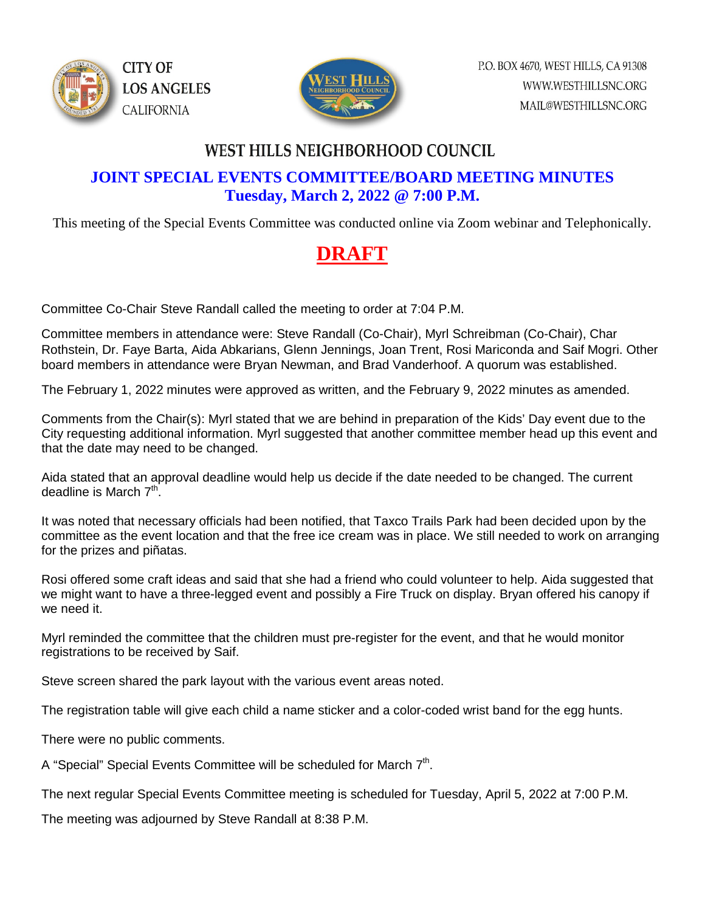



### **WEST HILLS NEIGHBORHOOD COUNCIL**

### **JOINT SPECIAL EVENTS COMMITTEE/BOARD MEETING MINUTES Tuesday, March 2, 2022 @ 7:00 P.M.**

This meeting of the Special Events Committee was conducted online via Zoom webinar and Telephonically.

# **DRAFT**

Committee Co-Chair Steve Randall called the meeting to order at 7:04 P.M.

Committee members in attendance were: Steve Randall (Co-Chair), Myrl Schreibman (Co-Chair), Char Rothstein, Dr. Faye Barta, Aida Abkarians, Glenn Jennings, Joan Trent, Rosi Mariconda and Saif Mogri. Other board members in attendance were Bryan Newman, and Brad Vanderhoof. A quorum was established.

The February 1, 2022 minutes were approved as written, and the February 9, 2022 minutes as amended.

Comments from the Chair(s): Myrl stated that we are behind in preparation of the Kids' Day event due to the City requesting additional information. Myrl suggested that another committee member head up this event and that the date may need to be changed.

Aida stated that an approval deadline would help us decide if the date needed to be changed. The current deadline is March  $7<sup>th</sup>$ .

It was noted that necessary officials had been notified, that Taxco Trails Park had been decided upon by the committee as the event location and that the free ice cream was in place. We still needed to work on arranging for the prizes and piñatas.

Rosi offered some craft ideas and said that she had a friend who could volunteer to help. Aida suggested that we might want to have a three-legged event and possibly a Fire Truck on display. Bryan offered his canopy if we need it.

Myrl reminded the committee that the children must pre-register for the event, and that he would monitor registrations to be received by Saif.

Steve screen shared the park layout with the various event areas noted.

The registration table will give each child a name sticker and a color-coded wrist band for the egg hunts.

There were no public comments.

A "Special" Special Events Committee will be scheduled for March 7<sup>th</sup>.

The next regular Special Events Committee meeting is scheduled for Tuesday, April 5, 2022 at 7:00 P.M.

The meeting was adjourned by Steve Randall at 8:38 P.M.